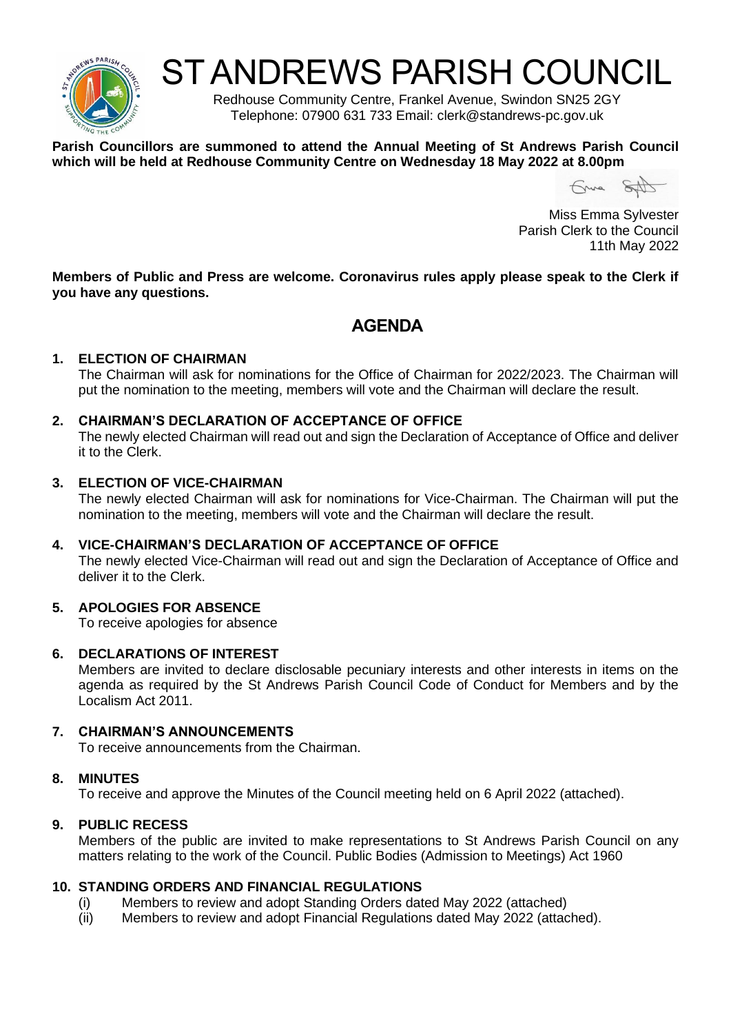

# ST ANDREWS PARISH COUNCIL

Redhouse Community Centre, Frankel Avenue, Swindon SN25 2GY Telephone: 07900 631 733 Email: clerk@standrews-pc.gov.uk

#### **Parish Councillors are summoned to attend the Annual Meeting of St Andrews Parish Council which will be held at Redhouse Community Centre on Wednesday 18 May 2022 at 8.00pm**

Gruna SAD

Miss Emma Sylvester Parish Clerk to the Council 11th May 2022

**Members of Public and Press are welcome. Coronavirus rules apply please speak to the Clerk if you have any questions.**

# **AGENDA**

#### **1. ELECTION OF CHAIRMAN**

The Chairman will ask for nominations for the Office of Chairman for 2022/2023. The Chairman will put the nomination to the meeting, members will vote and the Chairman will declare the result.

#### **2. CHAIRMAN'S DECLARATION OF ACCEPTANCE OF OFFICE**

The newly elected Chairman will read out and sign the Declaration of Acceptance of Office and deliver it to the Clerk.

#### **3. ELECTION OF VICE-CHAIRMAN**

The newly elected Chairman will ask for nominations for Vice-Chairman. The Chairman will put the nomination to the meeting, members will vote and the Chairman will declare the result.

#### **4. VICE-CHAIRMAN'S DECLARATION OF ACCEPTANCE OF OFFICE**

The newly elected Vice-Chairman will read out and sign the Declaration of Acceptance of Office and deliver it to the Clerk.

# **5. APOLOGIES FOR ABSENCE**

To receive apologies for absence

#### **6. DECLARATIONS OF INTEREST**

Members are invited to declare disclosable pecuniary interests and other interests in items on the agenda as required by the St Andrews Parish Council Code of Conduct for Members and by the Localism Act 2011.

#### **7. CHAIRMAN'S ANNOUNCEMENTS**

To receive announcements from the Chairman.

#### **8. MINUTES**

To receive and approve the Minutes of the Council meeting held on 6 April 2022 (attached).

# **9. PUBLIC RECESS**

Members of the public are invited to make representations to St Andrews Parish Council on any matters relating to the work of the Council. Public Bodies (Admission to Meetings) Act 1960

#### **10. STANDING ORDERS AND FINANCIAL REGULATIONS**

- (i) Members to review and adopt Standing Orders dated May 2022 (attached)
- (ii) Members to review and adopt Financial Regulations dated May 2022 (attached).